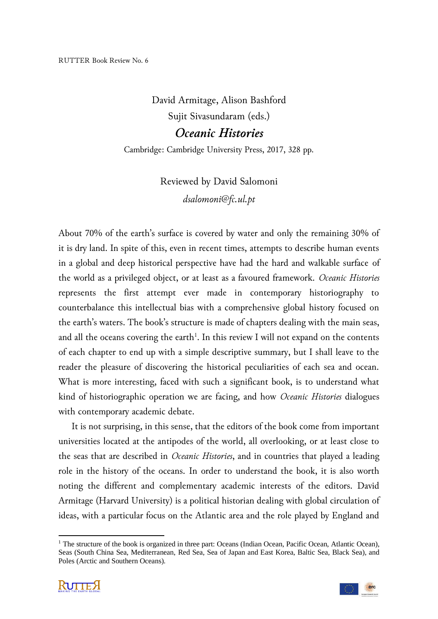## David Armitage, Alison Bashford Sujit Sivasundaram (eds.) *Oceanic Histories*

Cambridge: Cambridge University Press, 2017, 328 pp.

## Reviewed by David Salomoni *dsalomoni@fc.ul.pt*

About 70% of the earth's surface is covered by water and only the remaining 30% of it is dry land. In spite of this, even in recent times, attempts to describe human events in a global and deep historical perspective have had the hard and walkable surface of the world as a privileged object, or at least as a favoured framework. *Oceanic Histories* represents the first attempt ever made in contemporary historiography to counterbalance this intellectual bias with a comprehensive global history focused on the earth's waters. The book's structure is made of chapters dealing with the main seas, and all the oceans covering the earth<sup>1</sup>. In this review I will not expand on the contents of each chapter to end up with a simple descriptive summary, but I shall leave to the reader the pleasure of discovering the historical peculiarities of each sea and ocean. What is more interesting, faced with such a significant book, is to understand what kind of historiographic operation we are facing, and how *Oceanic Histories* dialogues with contemporary academic debate.

It is not surprising, in this sense, that the editors of the book come from important universities located at the antipodes of the world, all overlooking, or at least close to the seas that are described in *Oceanic Histories*, and in countries that played a leading role in the history of the oceans. In order to understand the book, it is also worth noting the different and complementary academic interests of the editors. David Armitage (Harvard University) is a political historian dealing with global circulation of ideas, with a particular focus on the Atlantic area and the role played by England and

<sup>&</sup>lt;sup>1</sup> The structure of the book is organized in three part: Oceans (Indian Ocean, Pacific Ocean, Atlantic Ocean), Seas (South China Sea, Mediterranean, Red Sea, Sea of Japan and East Korea, Baltic Sea, Black Sea), and Poles (Arctic and Southern Oceans).



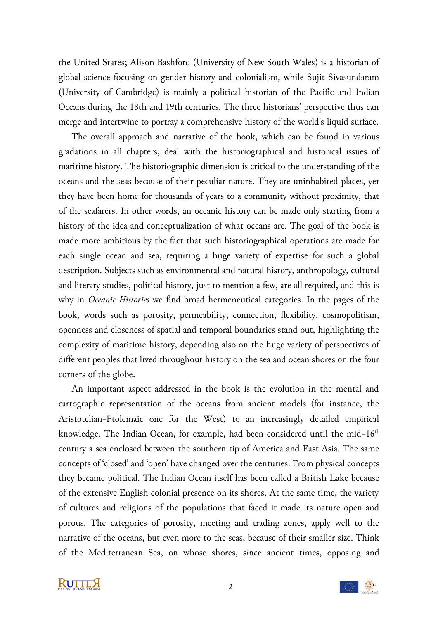the United States; Alison Bashford (University of New South Wales) is a historian of global science focusing on gender history and colonialism, while Sujit Sivasundaram (University of Cambridge) is mainly a political historian of the Pacific and Indian Oceans during the 18th and 19th centuries. The three historians' perspective thus can merge and intertwine to portray a comprehensive history of the world's liquid surface.

The overall approach and narrative of the book, which can be found in various gradations in all chapters, deal with the historiographical and historical issues of maritime history. The historiographic dimension is critical to the understanding of the oceans and the seas because of their peculiar nature. They are uninhabited places, yet they have been home for thousands of years to a community without proximity, that of the seafarers. In other words, an oceanic history can be made only starting from a history of the idea and conceptualization of what oceans are. The goal of the book is made more ambitious by the fact that such historiographical operations are made for each single ocean and sea, requiring a huge variety of expertise for such a global description. Subjects such as environmental and natural history, anthropology, cultural and literary studies, political history, just to mention a few, are all required, and this is why in *Oceanic Histories* we find broad hermeneutical categories. In the pages of the book, words such as porosity, permeability, connection, flexibility, cosmopolitism, openness and closeness of spatial and temporal boundaries stand out, highlighting the complexity of maritime history, depending also on the huge variety of perspectives of different peoples that lived throughout history on the sea and ocean shores on the four corners of the globe.

An important aspect addressed in the book is the evolution in the mental and cartographic representation of the oceans from ancient models (for instance, the Aristotelian-Ptolemaic one for the West) to an increasingly detailed empirical knowledge. The Indian Ocean, for example, had been considered until the mid- $16<sup>th</sup>$ century a sea enclosed between the southern tip of America and East Asia. The same concepts of 'closed' and 'open' have changed over the centuries. From physical concepts they became political. The Indian Ocean itself has been called a British Lake because of the extensive English colonial presence on its shores. At the same time, the variety of cultures and religions of the populations that faced it made its nature open and porous. The categories of porosity, meeting and trading zones, apply well to the narrative of the oceans, but even more to the seas, because of their smaller size. Think of the Mediterranean Sea, on whose shores, since ancient times, opposing and

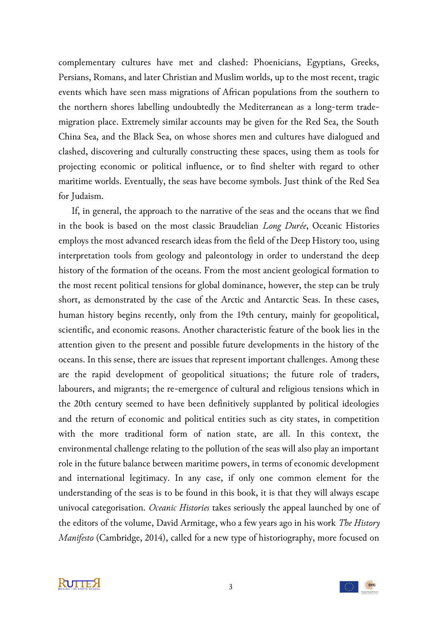complementary cultures have met and clashed: Phoenicians, Egyptians, Greeks, Persians, Romans, and later Christian and Muslim worlds, up to the most recent, tragic events which have seen mass migrations of African populations from the southern to the northern shores labelling undoubtedly the Mediterranean as a long-term trademigration place. Extremely similar accounts may be given for the Red Sea, the South China Sea, and the Black Sea, on whose shores men and cultures have dialogued and clashed, discovering and culturally constructing these spaces, using them as tools for projecting economic or political influence, or to find shelter with regard to other maritime worlds. Eventually, the seas have become symbols. Just think of the Red Sea for Judaism.

If, in general, the approach to the narrative of the seas and the oceans that we find in the book is based on the most classic Braudelian *Long Durée*, Oceanic Histories employs the most advanced research ideas from the field of the Deep History too, using interpretation tools from geology and paleontology in order to understand the deep history of the formation of the oceans. From the most ancient geological formation to the most recent political tensions for global dominance, however, the step can be truly short, as demonstrated by the case of the Arctic and Antarctic Seas. In these cases, human history begins recently, only from the 19th century, mainly for geopolitical, scientific, and economic reasons. Another characteristic feature of the book lies in the attention given to the present and possible future developments in the history of the oceans. In this sense, there are issues that represent important challenges. Among these are the rapid development of geopolitical situations; the future role of traders, labourers, and migrants; the re-emergence of cultural and religious tensions which in the 20th century seemed to have been definitively supplanted by political ideologies and the return of economic and political entities such as city states, in competition with the more traditional form of nation state, are all. In this context, the environmental challenge relating to the pollution of the seas will also play an important role in the future balance between maritime powers, in terms of economic development and international legitimacy. In any case, if only one common element for the understanding of the seas is to be found in this book, it is that they will always escape univocal categorisation. *Oceanic Histories* takes seriously the appeal launched by one of the editors of the volume, David Armitage, who a few years ago in his work *The History Manifesto* (Cambridge, 2014), called for a new type of historiography, more focused on